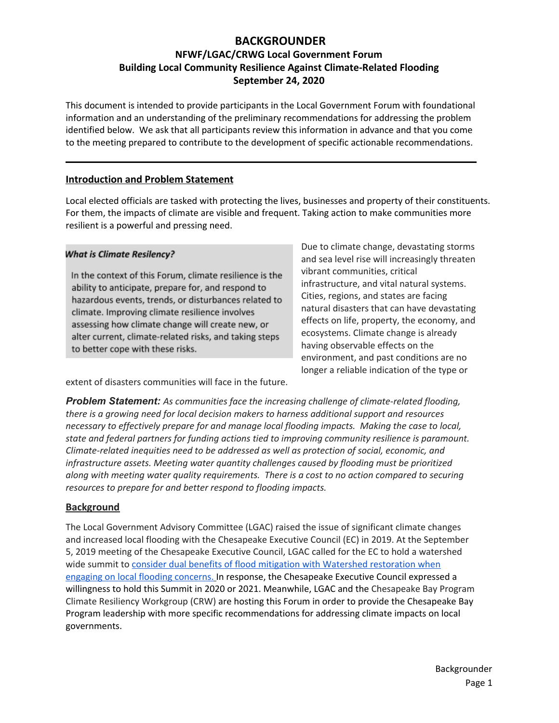# **BACKGROUNDER**

# **NFWF/LGAC/CRWG Local Government Forum Building Local Community Resilience Against Climate-Related Flooding September 24, 2020**

This document is intended to provide participants in the Local Government Forum with foundational information and an understanding of the preliminary recommendations for addressing the problem identified below. We ask that all participants review this information in advance and that you come to the meeting prepared to contribute to the development of specific actionable recommendations.

#### **Introduction and Problem Statement**

Local elected officials are tasked with protecting the lives, businesses and property of their constituents. For them, the impacts of climate are visible and frequent. Taking action to make communities more resilient is a powerful and pressing need.

#### **What is Climate Resilency?**

In the context of this Forum, climate resilience is the ability to anticipate, prepare for, and respond to hazardous events, trends, or disturbances related to climate. Improving climate resilience involves assessing how climate change will create new, or alter current, climate-related risks, and taking steps to better cope with these risks.

Due to climate change, devastating storms and sea level rise will increasingly threaten vibrant communities, critical infrastructure, and vital natural systems. Cities, regions, and states are facing natural disasters that can have devastating effects on life, property, the economy, and ecosystems. Climate change is already having observable effects on the environment, and past conditions are no longer a reliable indication of the type or

extent of disasters communities will face in the future.

*Problem Statement: As communities face the increasing challenge of climate-related flooding, there is a growing need for local decision makers to harness additional support and resources necessary to effectively prepare for and manage local flooding impacts. Making the case to local, state and federal partners for funding actions tied to improving community resilience is paramount. Climate-related inequities need to be addressed as well as protection of social, economic, and infrastructure assets. Meeting water quantity challenges caused by flooding must be prioritized along with meeting water quality requirements. There is a cost to no action compared to securing resources to prepare for and better respond to flooding impacts.*

#### **Background**

The Local Government Advisory Committee (LGAC) raised the issue of significant climate changes and increased local flooding with the Chesapeake Executive Council (EC) in 2019. At the September 5, 2019 meeting of the Chesapeake Executive Council, LGAC called for the EC to hold a watershed wide summit to consider dual benefits of flood mitigation with Watershed [restoration](https://www.chesapeakebay.net/channel_files/20729/lgac_ec_letter_and_report_september_2019.pdf) when engaging on local flooding [concerns.](https://www.chesapeakebay.net/channel_files/20729/lgac_ec_letter_and_report_september_2019.pdf) In response, the Chesapeake Executive Council expressed a willingness to hold this Summit in 2020 or 2021. Meanwhile, LGAC and the Chesapeake Bay Program Climate Resiliency Workgroup (CRW) are hosting this Forum in order to provide the Chesapeake Bay Program leadership with more specific recommendations for addressing climate impacts on local governments.